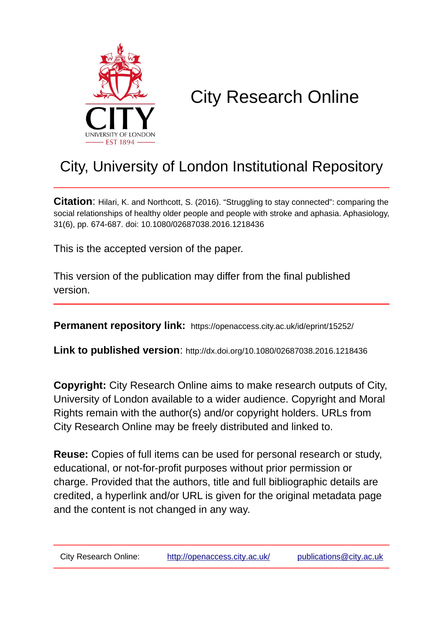

# City Research Online

## City, University of London Institutional Repository

**Citation**: Hilari, K. and Northcott, S. (2016). "Struggling to stay connected": comparing the social relationships of healthy older people and people with stroke and aphasia. Aphasiology, 31(6), pp. 674-687. doi: 10.1080/02687038.2016.1218436

This is the accepted version of the paper.

This version of the publication may differ from the final published version.

**Permanent repository link:** https://openaccess.city.ac.uk/id/eprint/15252/

**Link to published version**: http://dx.doi.org/10.1080/02687038.2016.1218436

**Copyright:** City Research Online aims to make research outputs of City, University of London available to a wider audience. Copyright and Moral Rights remain with the author(s) and/or copyright holders. URLs from City Research Online may be freely distributed and linked to.

**Reuse:** Copies of full items can be used for personal research or study, educational, or not-for-profit purposes without prior permission or charge. Provided that the authors, title and full bibliographic details are credited, a hyperlink and/or URL is given for the original metadata page and the content is not changed in any way.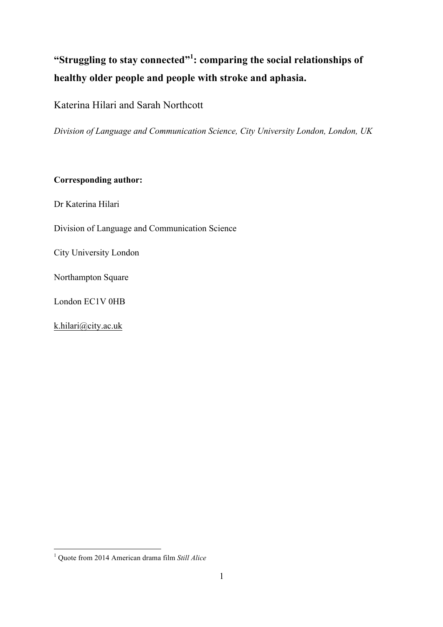### **"Struggling to stay connected"<sup>1</sup> : comparing the social relationships of healthy older people and people with stroke and aphasia.**

Katerina Hilari and Sarah Northcott

*Division of Language and Communication Science, City University London, London, UK*

#### **Corresponding author:**

Dr Katerina Hilari

Division of Language and Communication Science

City University London

Northampton Square

London EC1V 0HB

k.hilari@city.ac.uk

 <sup>1</sup> Quote from 2014 American drama film *Still Alice*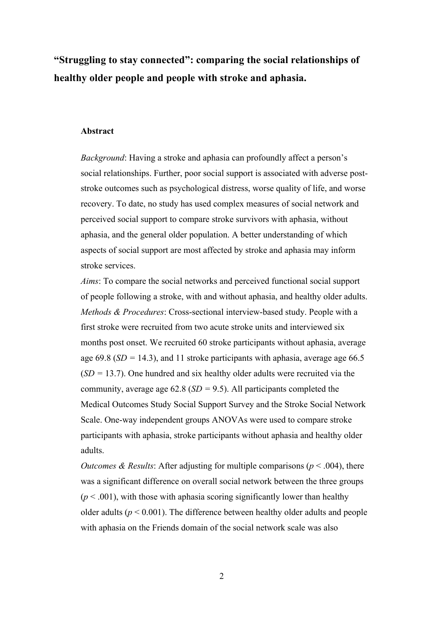**"Struggling to stay connected": comparing the social relationships of healthy older people and people with stroke and aphasia.**

#### **Abstract**

*Background*: Having a stroke and aphasia can profoundly affect a person's social relationships. Further, poor social support is associated with adverse poststroke outcomes such as psychological distress, worse quality of life, and worse recovery. To date, no study has used complex measures of social network and perceived social support to compare stroke survivors with aphasia, without aphasia, and the general older population. A better understanding of which aspects of social support are most affected by stroke and aphasia may inform stroke services.

*Aims*: To compare the social networks and perceived functional social support of people following a stroke, with and without aphasia, and healthy older adults. *Methods & Procedures*: Cross-sectional interview-based study. People with a first stroke were recruited from two acute stroke units and interviewed six months post onset. We recruited 60 stroke participants without aphasia, average age  $69.8$  ( $SD = 14.3$ ), and 11 stroke participants with aphasia, average age  $66.5$  $(SD = 13.7)$ . One hundred and six healthy older adults were recruited via the community, average age 62.8 (*SD =* 9.5). All participants completed the Medical Outcomes Study Social Support Survey and the Stroke Social Network Scale. One-way independent groups ANOVAs were used to compare stroke participants with aphasia, stroke participants without aphasia and healthy older adults.

*Outcomes & Results:* After adjusting for multiple comparisons ( $p < .004$ ), there was a significant difference on overall social network between the three groups  $(p < .001)$ , with those with aphasia scoring significantly lower than healthy older adults ( $p < 0.001$ ). The difference between healthy older adults and people with aphasia on the Friends domain of the social network scale was also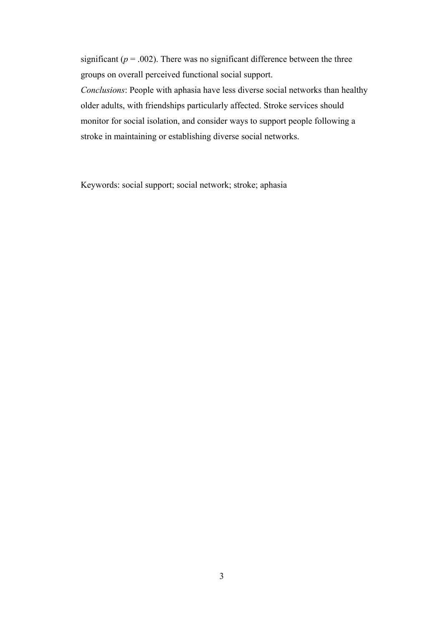significant ( $p = .002$ ). There was no significant difference between the three groups on overall perceived functional social support.

*Conclusions*: People with aphasia have less diverse social networks than healthy older adults, with friendships particularly affected. Stroke services should monitor for social isolation, and consider ways to support people following a stroke in maintaining or establishing diverse social networks.

Keywords: social support; social network; stroke; aphasia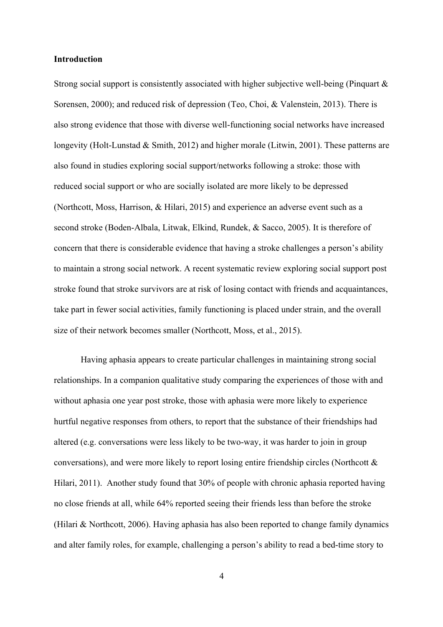#### **Introduction**

Strong social support is consistently associated with higher subjective well-being (Pinquart & Sorensen, 2000); and reduced risk of depression (Teo, Choi, & Valenstein, 2013). There is also strong evidence that those with diverse well-functioning social networks have increased longevity (Holt-Lunstad & Smith, 2012) and higher morale (Litwin, 2001). These patterns are also found in studies exploring social support/networks following a stroke: those with reduced social support or who are socially isolated are more likely to be depressed (Northcott, Moss, Harrison, & Hilari, 2015) and experience an adverse event such as a second stroke (Boden-Albala, Litwak, Elkind, Rundek, & Sacco, 2005). It is therefore of concern that there is considerable evidence that having a stroke challenges a person's ability to maintain a strong social network. A recent systematic review exploring social support post stroke found that stroke survivors are at risk of losing contact with friends and acquaintances, take part in fewer social activities, family functioning is placed under strain, and the overall size of their network becomes smaller (Northcott, Moss, et al., 2015).

Having aphasia appears to create particular challenges in maintaining strong social relationships. In a companion qualitative study comparing the experiences of those with and without aphasia one year post stroke, those with aphasia were more likely to experience hurtful negative responses from others, to report that the substance of their friendships had altered (e.g. conversations were less likely to be two-way, it was harder to join in group conversations), and were more likely to report losing entire friendship circles (Northcott & Hilari, 2011). Another study found that 30% of people with chronic aphasia reported having no close friends at all, while 64% reported seeing their friends less than before the stroke (Hilari & Northcott, 2006). Having aphasia has also been reported to change family dynamics and alter family roles, for example, challenging a person's ability to read a bed-time story to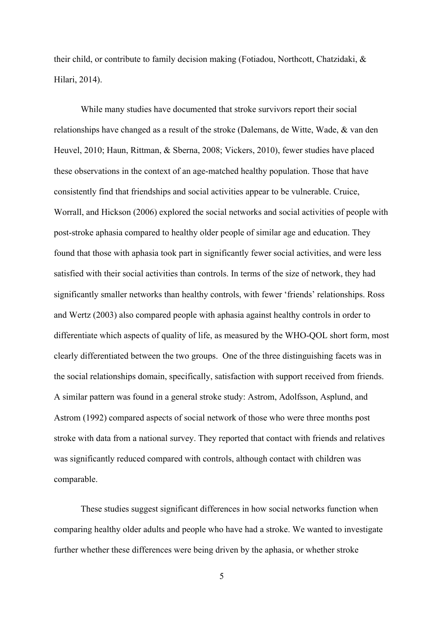their child, or contribute to family decision making (Fotiadou, Northcott, Chatzidaki, & Hilari, 2014).

While many studies have documented that stroke survivors report their social relationships have changed as a result of the stroke (Dalemans, de Witte, Wade, & van den Heuvel, 2010; Haun, Rittman, & Sberna, 2008; Vickers, 2010), fewer studies have placed these observations in the context of an age-matched healthy population. Those that have consistently find that friendships and social activities appear to be vulnerable. Cruice, Worrall, and Hickson (2006) explored the social networks and social activities of people with post-stroke aphasia compared to healthy older people of similar age and education. They found that those with aphasia took part in significantly fewer social activities, and were less satisfied with their social activities than controls. In terms of the size of network, they had significantly smaller networks than healthy controls, with fewer 'friends' relationships. Ross and Wertz (2003) also compared people with aphasia against healthy controls in order to differentiate which aspects of quality of life, as measured by the WHO-QOL short form, most clearly differentiated between the two groups. One of the three distinguishing facets was in the social relationships domain, specifically, satisfaction with support received from friends. A similar pattern was found in a general stroke study: Astrom, Adolfsson, Asplund, and Astrom (1992) compared aspects of social network of those who were three months post stroke with data from a national survey. They reported that contact with friends and relatives was significantly reduced compared with controls, although contact with children was comparable.

These studies suggest significant differences in how social networks function when comparing healthy older adults and people who have had a stroke. We wanted to investigate further whether these differences were being driven by the aphasia, or whether stroke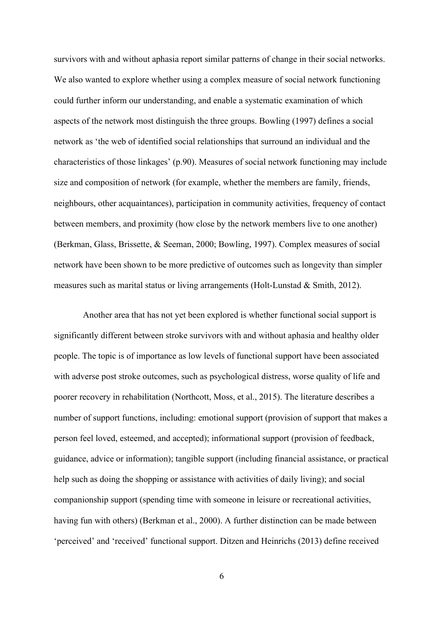survivors with and without aphasia report similar patterns of change in their social networks. We also wanted to explore whether using a complex measure of social network functioning could further inform our understanding, and enable a systematic examination of which aspects of the network most distinguish the three groups. Bowling (1997) defines a social network as 'the web of identified social relationships that surround an individual and the characteristics of those linkages' (p.90). Measures of social network functioning may include size and composition of network (for example, whether the members are family, friends, neighbours, other acquaintances), participation in community activities, frequency of contact between members, and proximity (how close by the network members live to one another) (Berkman, Glass, Brissette, & Seeman, 2000; Bowling, 1997). Complex measures of social network have been shown to be more predictive of outcomes such as longevity than simpler measures such as marital status or living arrangements (Holt-Lunstad & Smith, 2012).

Another area that has not yet been explored is whether functional social support is significantly different between stroke survivors with and without aphasia and healthy older people. The topic is of importance as low levels of functional support have been associated with adverse post stroke outcomes, such as psychological distress, worse quality of life and poorer recovery in rehabilitation (Northcott, Moss, et al., 2015). The literature describes a number of support functions, including: emotional support (provision of support that makes a person feel loved, esteemed, and accepted); informational support (provision of feedback, guidance, advice or information); tangible support (including financial assistance, or practical help such as doing the shopping or assistance with activities of daily living); and social companionship support (spending time with someone in leisure or recreational activities, having fun with others) (Berkman et al., 2000). A further distinction can be made between 'perceived' and 'received' functional support. Ditzen and Heinrichs (2013) define received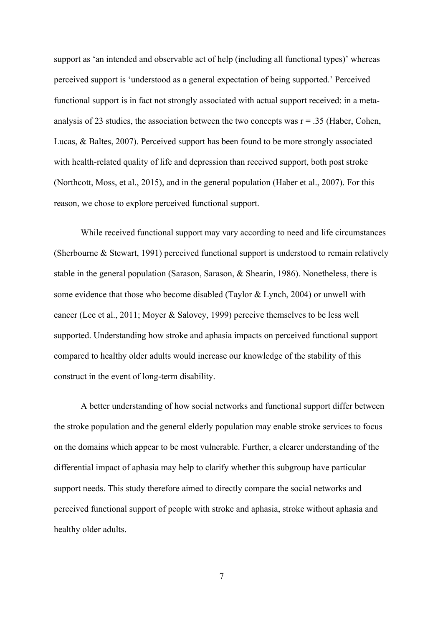support as 'an intended and observable act of help (including all functional types)' whereas perceived support is 'understood as a general expectation of being supported.' Perceived functional support is in fact not strongly associated with actual support received: in a metaanalysis of 23 studies, the association between the two concepts was  $r = 0.35$  (Haber, Cohen, Lucas, & Baltes, 2007). Perceived support has been found to be more strongly associated with health-related quality of life and depression than received support, both post stroke (Northcott, Moss, et al., 2015), and in the general population (Haber et al., 2007). For this reason, we chose to explore perceived functional support.

While received functional support may vary according to need and life circumstances (Sherbourne & Stewart, 1991) perceived functional support is understood to remain relatively stable in the general population (Sarason, Sarason,  $\&$  Shearin, 1986). Nonetheless, there is some evidence that those who become disabled (Taylor & Lynch, 2004) or unwell with cancer (Lee et al., 2011; Moyer & Salovey, 1999) perceive themselves to be less well supported. Understanding how stroke and aphasia impacts on perceived functional support compared to healthy older adults would increase our knowledge of the stability of this construct in the event of long-term disability.

A better understanding of how social networks and functional support differ between the stroke population and the general elderly population may enable stroke services to focus on the domains which appear to be most vulnerable. Further, a clearer understanding of the differential impact of aphasia may help to clarify whether this subgroup have particular support needs. This study therefore aimed to directly compare the social networks and perceived functional support of people with stroke and aphasia, stroke without aphasia and healthy older adults.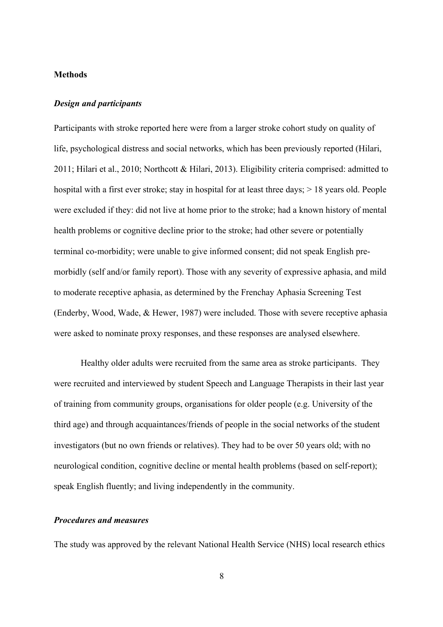#### **Methods**

#### *Design and participants*

Participants with stroke reported here were from a larger stroke cohort study on quality of life, psychological distress and social networks, which has been previously reported (Hilari, 2011; Hilari et al., 2010; Northcott & Hilari, 2013). Eligibility criteria comprised: admitted to hospital with a first ever stroke; stay in hospital for at least three days;  $> 18$  years old. People were excluded if they: did not live at home prior to the stroke; had a known history of mental health problems or cognitive decline prior to the stroke; had other severe or potentially terminal co-morbidity; were unable to give informed consent; did not speak English premorbidly (self and/or family report). Those with any severity of expressive aphasia, and mild to moderate receptive aphasia, as determined by the Frenchay Aphasia Screening Test (Enderby, Wood, Wade, & Hewer, 1987) were included. Those with severe receptive aphasia were asked to nominate proxy responses, and these responses are analysed elsewhere.

Healthy older adults were recruited from the same area as stroke participants. They were recruited and interviewed by student Speech and Language Therapists in their last year of training from community groups, organisations for older people (e.g. University of the third age) and through acquaintances/friends of people in the social networks of the student investigators (but no own friends or relatives). They had to be over 50 years old; with no neurological condition, cognitive decline or mental health problems (based on self-report); speak English fluently; and living independently in the community.

#### *Procedures and measures*

The study was approved by the relevant National Health Service (NHS) local research ethics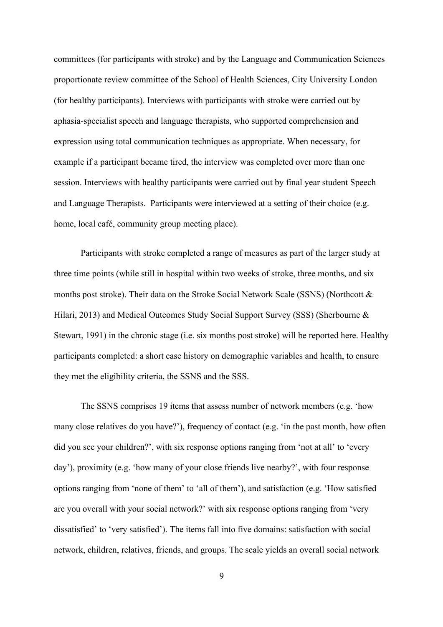committees (for participants with stroke) and by the Language and Communication Sciences proportionate review committee of the School of Health Sciences, City University London (for healthy participants). Interviews with participants with stroke were carried out by aphasia-specialist speech and language therapists, who supported comprehension and expression using total communication techniques as appropriate. When necessary, for example if a participant became tired, the interview was completed over more than one session. Interviews with healthy participants were carried out by final year student Speech and Language Therapists. Participants were interviewed at a setting of their choice (e.g. home, local café, community group meeting place).

Participants with stroke completed a range of measures as part of the larger study at three time points (while still in hospital within two weeks of stroke, three months, and six months post stroke). Their data on the Stroke Social Network Scale (SSNS) (Northcott & Hilari, 2013) and Medical Outcomes Study Social Support Survey (SSS) (Sherbourne & Stewart, 1991) in the chronic stage (i.e. six months post stroke) will be reported here. Healthy participants completed: a short case history on demographic variables and health, to ensure they met the eligibility criteria, the SSNS and the SSS.

The SSNS comprises 19 items that assess number of network members (e.g. 'how many close relatives do you have?'), frequency of contact (e.g. 'in the past month, how often did you see your children?', with six response options ranging from 'not at all' to 'every day'), proximity (e.g. 'how many of your close friends live nearby?', with four response options ranging from 'none of them' to 'all of them'), and satisfaction (e.g. 'How satisfied are you overall with your social network?' with six response options ranging from 'very dissatisfied' to 'very satisfied'). The items fall into five domains: satisfaction with social network, children, relatives, friends, and groups. The scale yields an overall social network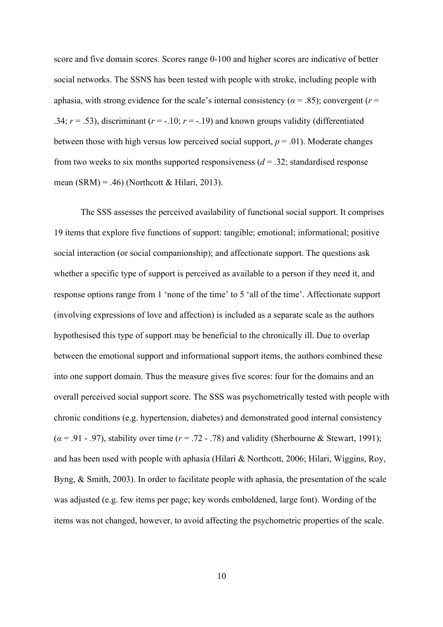score and five domain scores. Scores range 0-100 and higher scores are indicative of better social networks. The SSNS has been tested with people with stroke, including people with aphasia, with strong evidence for the scale's internal consistency ( $\alpha$  = .85); convergent ( $r$  = .34;  $r = .53$ ), discriminant ( $r = -.10$ ;  $r = -.19$ ) and known groups validity (differentiated between those with high versus low perceived social support,  $p = .01$ ). Moderate changes from two weeks to six months supported responsiveness  $(d = .32)$ ; standardised response mean (SRM) = .46) (Northcott & Hilari, 2013).

The SSS assesses the perceived availability of functional social support. It comprises 19 items that explore five functions of support: tangible; emotional; informational; positive social interaction (or social companionship); and affectionate support. The questions ask whether a specific type of support is perceived as available to a person if they need it, and response options range from 1 'none of the time' to 5 'all of the time'. Affectionate support (involving expressions of love and affection) is included as a separate scale as the authors hypothesised this type of support may be beneficial to the chronically ill. Due to overlap between the emotional support and informational support items, the authors combined these into one support domain. Thus the measure gives five scores: four for the domains and an overall perceived social support score. The SSS was psychometrically tested with people with chronic conditions (e.g. hypertension, diabetes) and demonstrated good internal consistency (*α* = .91 - .97), stability over time (*r* = .72 - .78) and validity (Sherbourne & Stewart, 1991); and has been used with people with aphasia (Hilari & Northcott, 2006; Hilari, Wiggins, Roy, Byng, & Smith, 2003). In order to facilitate people with aphasia, the presentation of the scale was adjusted (e.g. few items per page; key words emboldened, large font). Wording of the items was not changed, however, to avoid affecting the psychometric properties of the scale.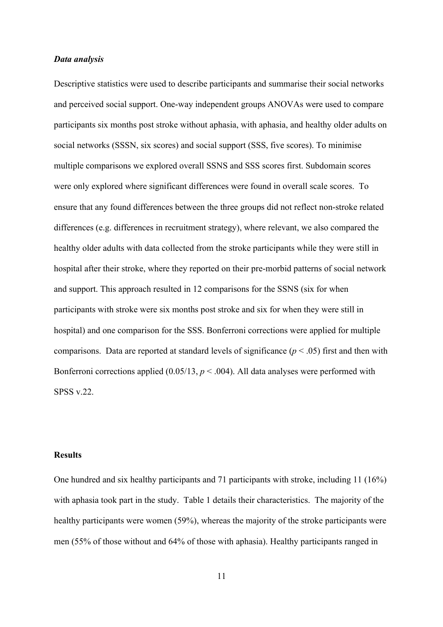#### *Data analysis*

Descriptive statistics were used to describe participants and summarise their social networks and perceived social support. One-way independent groups ANOVAs were used to compare participants six months post stroke without aphasia, with aphasia, and healthy older adults on social networks (SSSN, six scores) and social support (SSS, five scores). To minimise multiple comparisons we explored overall SSNS and SSS scores first. Subdomain scores were only explored where significant differences were found in overall scale scores. To ensure that any found differences between the three groups did not reflect non-stroke related differences (e.g. differences in recruitment strategy), where relevant, we also compared the healthy older adults with data collected from the stroke participants while they were still in hospital after their stroke, where they reported on their pre-morbid patterns of social network and support. This approach resulted in 12 comparisons for the SSNS (six for when participants with stroke were six months post stroke and six for when they were still in hospital) and one comparison for the SSS. Bonferroni corrections were applied for multiple comparisons. Data are reported at standard levels of significance ( $p < .05$ ) first and then with Bonferroni corrections applied  $(0.05/13, p \le 0.004)$ . All data analyses were performed with SPSS v.22.

#### **Results**

One hundred and six healthy participants and 71 participants with stroke, including 11 (16%) with aphasia took part in the study. Table 1 details their characteristics. The majority of the healthy participants were women (59%), whereas the majority of the stroke participants were men (55% of those without and 64% of those with aphasia). Healthy participants ranged in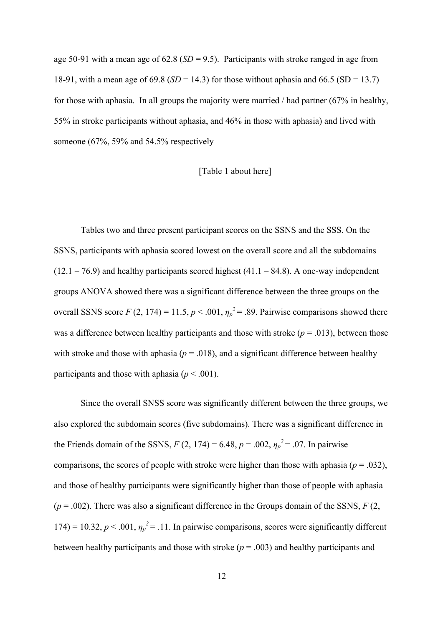age 50-91 with a mean age of 62.8 (*SD* = 9.5). Participants with stroke ranged in age from 18-91, with a mean age of 69.8 (*SD* = 14.3) for those without aphasia and 66.5 (SD = 13.7) for those with aphasia. In all groups the majority were married / had partner (67% in healthy, 55% in stroke participants without aphasia, and 46% in those with aphasia) and lived with someone (67%, 59% and 54.5% respectively

#### [Table 1 about here]

Tables two and three present participant scores on the SSNS and the SSS. On the SSNS, participants with aphasia scored lowest on the overall score and all the subdomains  $(12.1 - 76.9)$  and healthy participants scored highest  $(41.1 - 84.8)$ . A one-way independent groups ANOVA showed there was a significant difference between the three groups on the overall SSNS score  $F(2, 174) = 11.5, p < .001, \eta_p^2 = .89$ . Pairwise comparisons showed there was a difference between healthy participants and those with stroke  $(p = .013)$ , between those with stroke and those with aphasia ( $p = .018$ ), and a significant difference between healthy participants and those with aphasia ( $p < .001$ ).

Since the overall SNSS score was significantly different between the three groups, we also explored the subdomain scores (five subdomains). There was a significant difference in the Friends domain of the SSNS,  $F(2, 174) = 6.48$ ,  $p = .002$ ,  $\eta_p^2 = .07$ . In pairwise comparisons, the scores of people with stroke were higher than those with aphasia ( $p = .032$ ), and those of healthy participants were significantly higher than those of people with aphasia  $(p = .002)$ . There was also a significant difference in the Groups domain of the SSNS,  $F(2, 1)$ 174) = 10.32,  $p < .001$ ,  $\eta_p^2 = .11$ . In pairwise comparisons, scores were significantly different between healthy participants and those with stroke (*p* = .003) and healthy participants and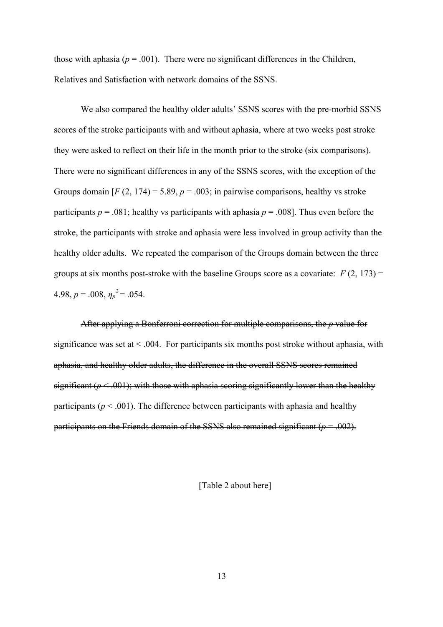those with aphasia ( $p = .001$ ). There were no significant differences in the Children, Relatives and Satisfaction with network domains of the SSNS.

We also compared the healthy older adults' SSNS scores with the pre-morbid SSNS scores of the stroke participants with and without aphasia, where at two weeks post stroke they were asked to reflect on their life in the month prior to the stroke (six comparisons). There were no significant differences in any of the SSNS scores, with the exception of the Groups domain  $[F(2, 174) = 5.89, p = .003$ ; in pairwise comparisons, healthy vs stroke participants  $p = .081$ ; healthy vs participants with aphasia  $p = .008$ ]. Thus even before the stroke, the participants with stroke and aphasia were less involved in group activity than the healthy older adults. We repeated the comparison of the Groups domain between the three groups at six months post-stroke with the baseline Groups score as a covariate:  $F(2, 173) =$ 4.98,  $p = .008$ ,  $\eta_p^2 = .054$ .

After applying a Bonferroni correction for multiple comparisons, the *p* value for significance was set at  $\leq 0.04$ . For participants six months post stroke without aphasia, with aphasia, and healthy older adults, the difference in the overall SSNS scores remained significant  $(p < .001)$ ; with those with aphasia scoring significantly lower than the healthy participants ( $p \le 0.001$ ). The difference between participants with aphasia and healthy participants on the Friends domain of the SSNS also remained significant  $(p=.002)$ .

[Table 2 about here]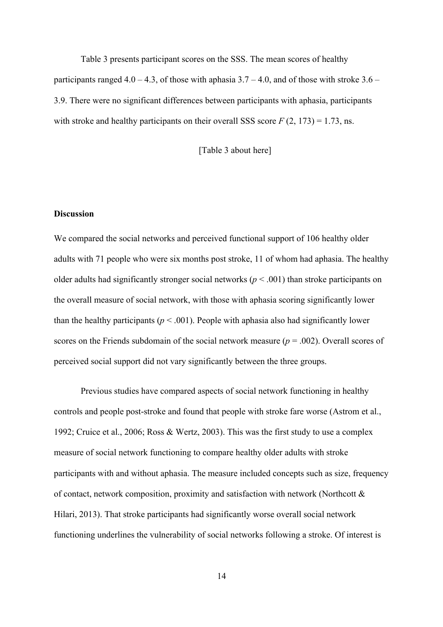Table 3 presents participant scores on the SSS. The mean scores of healthy participants ranged  $4.0 - 4.3$ , of those with aphasia  $3.7 - 4.0$ , and of those with stroke  $3.6 -$ 3.9. There were no significant differences between participants with aphasia, participants with stroke and healthy participants on their overall SSS score  $F(2, 173) = 1.73$ , ns.

[Table 3 about here]

#### **Discussion**

We compared the social networks and perceived functional support of 106 healthy older adults with 71 people who were six months post stroke, 11 of whom had aphasia. The healthy older adults had significantly stronger social networks ( $p < .001$ ) than stroke participants on the overall measure of social network, with those with aphasia scoring significantly lower than the healthy participants ( $p < .001$ ). People with aphasia also had significantly lower scores on the Friends subdomain of the social network measure ( $p = .002$ ). Overall scores of perceived social support did not vary significantly between the three groups.

Previous studies have compared aspects of social network functioning in healthy controls and people post-stroke and found that people with stroke fare worse (Astrom et al., 1992; Cruice et al., 2006; Ross & Wertz, 2003). This was the first study to use a complex measure of social network functioning to compare healthy older adults with stroke participants with and without aphasia. The measure included concepts such as size, frequency of contact, network composition, proximity and satisfaction with network (Northcott & Hilari, 2013). That stroke participants had significantly worse overall social network functioning underlines the vulnerability of social networks following a stroke. Of interest is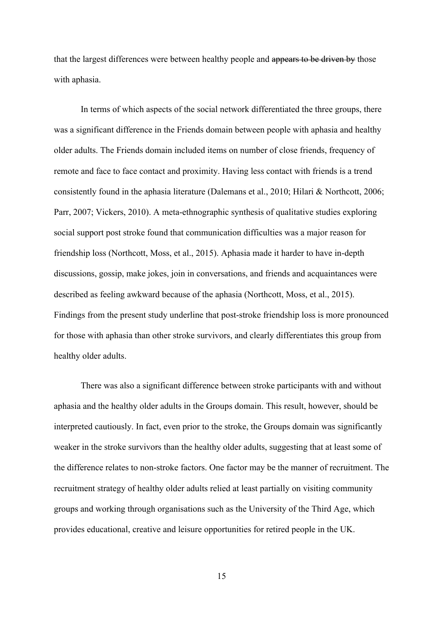that the largest differences were between healthy people and appears to be driven by those with aphasia.

In terms of which aspects of the social network differentiated the three groups, there was a significant difference in the Friends domain between people with aphasia and healthy older adults. The Friends domain included items on number of close friends, frequency of remote and face to face contact and proximity. Having less contact with friends is a trend consistently found in the aphasia literature (Dalemans et al., 2010; Hilari & Northcott, 2006; Parr, 2007; Vickers, 2010). A meta-ethnographic synthesis of qualitative studies exploring social support post stroke found that communication difficulties was a major reason for friendship loss (Northcott, Moss, et al., 2015). Aphasia made it harder to have in-depth discussions, gossip, make jokes, join in conversations, and friends and acquaintances were described as feeling awkward because of the aphasia (Northcott, Moss, et al., 2015). Findings from the present study underline that post-stroke friendship loss is more pronounced for those with aphasia than other stroke survivors, and clearly differentiates this group from healthy older adults.

There was also a significant difference between stroke participants with and without aphasia and the healthy older adults in the Groups domain. This result, however, should be interpreted cautiously. In fact, even prior to the stroke, the Groups domain was significantly weaker in the stroke survivors than the healthy older adults, suggesting that at least some of the difference relates to non-stroke factors. One factor may be the manner of recruitment. The recruitment strategy of healthy older adults relied at least partially on visiting community groups and working through organisations such as the University of the Third Age, which provides educational, creative and leisure opportunities for retired people in the UK.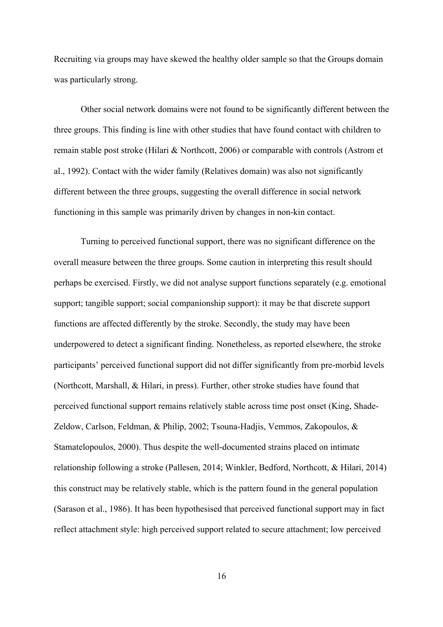Recruiting via groups may have skewed the healthy older sample so that the Groups domain was particularly strong.

Other social network domains were not found to be significantly different between the three groups. This finding is line with other studies that have found contact with children to remain stable post stroke (Hilari & Northcott, 2006) or comparable with controls (Astrom et al., 1992). Contact with the wider family (Relatives domain) was also not significantly different between the three groups, suggesting the overall difference in social network functioning in this sample was primarily driven by changes in non-kin contact.

Turning to perceived functional support, there was no significant difference on the overall measure between the three groups. Some caution in interpreting this result should perhaps be exercised. Firstly, we did not analyse support functions separately (e.g. emotional support; tangible support; social companionship support): it may be that discrete support functions are affected differently by the stroke. Secondly, the study may have been underpowered to detect a significant finding. Nonetheless, as reported elsewhere, the stroke participants' perceived functional support did not differ significantly from pre-morbid levels (Northcott, Marshall, & Hilari, in press). Further, other stroke studies have found that perceived functional support remains relatively stable across time post onset (King, Shade-Zeldow, Carlson, Feldman, & Philip, 2002; Tsouna-Hadjis, Vemmos, Zakopoulos, & Stamatelopoulos, 2000). Thus despite the well-documented strains placed on intimate relationship following a stroke (Pallesen, 2014; Winkler, Bedford, Northcott, & Hilari, 2014) this construct may be relatively stable, which is the pattern found in the general population (Sarason et al., 1986). It has been hypothesised that perceived functional support may in fact reflect attachment style: high perceived support related to secure attachment; low perceived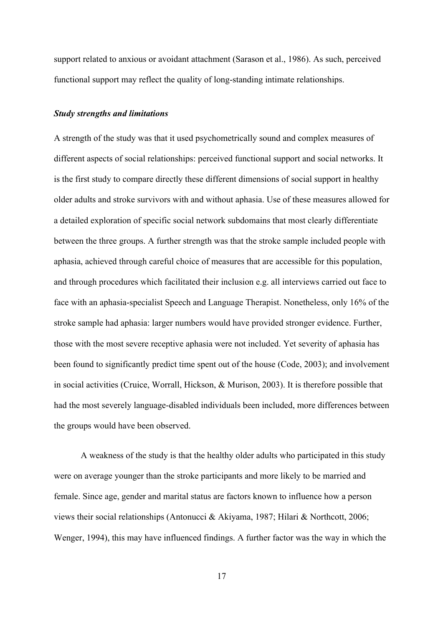support related to anxious or avoidant attachment (Sarason et al., 1986). As such, perceived functional support may reflect the quality of long-standing intimate relationships.

#### *Study strengths and limitations*

A strength of the study was that it used psychometrically sound and complex measures of different aspects of social relationships: perceived functional support and social networks. It is the first study to compare directly these different dimensions of social support in healthy older adults and stroke survivors with and without aphasia. Use of these measures allowed for a detailed exploration of specific social network subdomains that most clearly differentiate between the three groups. A further strength was that the stroke sample included people with aphasia, achieved through careful choice of measures that are accessible for this population, and through procedures which facilitated their inclusion e.g. all interviews carried out face to face with an aphasia-specialist Speech and Language Therapist. Nonetheless, only 16% of the stroke sample had aphasia: larger numbers would have provided stronger evidence. Further, those with the most severe receptive aphasia were not included. Yet severity of aphasia has been found to significantly predict time spent out of the house (Code, 2003); and involvement in social activities (Cruice, Worrall, Hickson, & Murison, 2003). It is therefore possible that had the most severely language-disabled individuals been included, more differences between the groups would have been observed.

A weakness of the study is that the healthy older adults who participated in this study were on average younger than the stroke participants and more likely to be married and female. Since age, gender and marital status are factors known to influence how a person views their social relationships (Antonucci & Akiyama, 1987; Hilari & Northcott, 2006; Wenger, 1994), this may have influenced findings. A further factor was the way in which the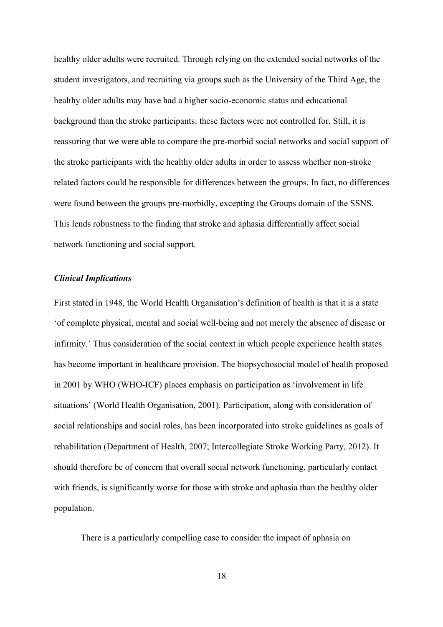healthy older adults were recruited. Through relying on the extended social networks of the student investigators, and recruiting via groups such as the University of the Third Age, the healthy older adults may have had a higher socio-economic status and educational background than the stroke participants: these factors were not controlled for. Still, it is reassuring that we were able to compare the pre-morbid social networks and social support of the stroke participants with the healthy older adults in order to assess whether non-stroke related factors could be responsible for differences between the groups. In fact, no differences were found between the groups pre-morbidly, excepting the Groups domain of the SSNS. This lends robustness to the finding that stroke and aphasia differentially affect social network functioning and social support.

#### *Clinical Implications*

First stated in 1948, the World Health Organisation's definition of health is that it is a state 'of complete physical, mental and social well-being and not merely the absence of disease or infirmity.' Thus consideration of the social context in which people experience health states has become important in healthcare provision. The biopsychosocial model of health proposed in 2001 by WHO (WHO-ICF) places emphasis on participation as 'involvement in life situations' (World Health Organisation, 2001). Participation, along with consideration of social relationships and social roles, has been incorporated into stroke guidelines as goals of rehabilitation (Department of Health, 2007; Intercollegiate Stroke Working Party, 2012). It should therefore be of concern that overall social network functioning, particularly contact with friends, is significantly worse for those with stroke and aphasia than the healthy older population.

There is a particularly compelling case to consider the impact of aphasia on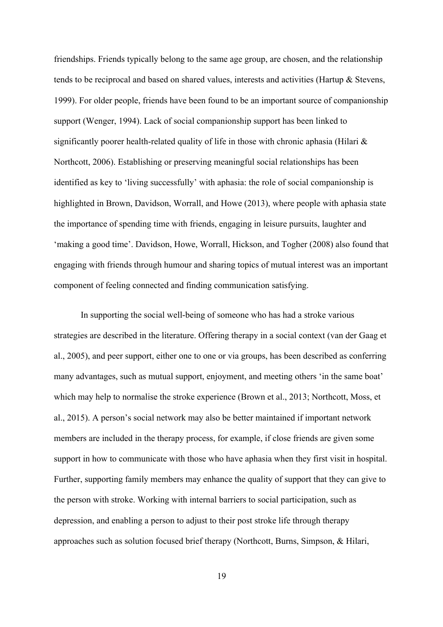friendships. Friends typically belong to the same age group, are chosen, and the relationship tends to be reciprocal and based on shared values, interests and activities (Hartup & Stevens, 1999). For older people, friends have been found to be an important source of companionship support (Wenger, 1994). Lack of social companionship support has been linked to significantly poorer health-related quality of life in those with chronic aphasia (Hilari & Northcott, 2006). Establishing or preserving meaningful social relationships has been identified as key to 'living successfully' with aphasia: the role of social companionship is highlighted in Brown, Davidson, Worrall, and Howe (2013), where people with aphasia state the importance of spending time with friends, engaging in leisure pursuits, laughter and 'making a good time'. Davidson, Howe, Worrall, Hickson, and Togher (2008) also found that engaging with friends through humour and sharing topics of mutual interest was an important component of feeling connected and finding communication satisfying.

In supporting the social well-being of someone who has had a stroke various strategies are described in the literature. Offering therapy in a social context (van der Gaag et al., 2005), and peer support, either one to one or via groups, has been described as conferring many advantages, such as mutual support, enjoyment, and meeting others 'in the same boat' which may help to normalise the stroke experience (Brown et al., 2013; Northcott, Moss, et al., 2015). A person's social network may also be better maintained if important network members are included in the therapy process, for example, if close friends are given some support in how to communicate with those who have aphasia when they first visit in hospital. Further, supporting family members may enhance the quality of support that they can give to the person with stroke. Working with internal barriers to social participation, such as depression, and enabling a person to adjust to their post stroke life through therapy approaches such as solution focused brief therapy (Northcott, Burns, Simpson, & Hilari,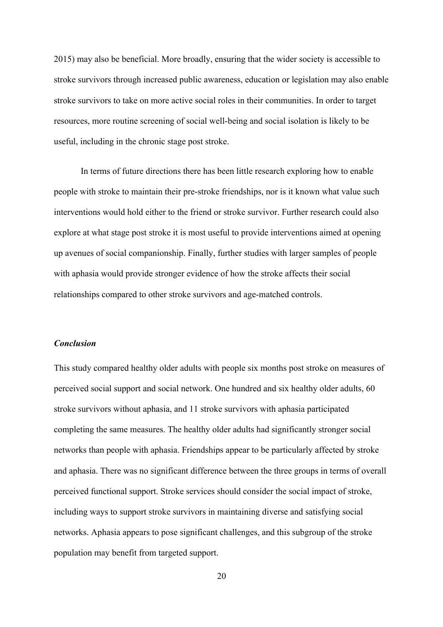2015) may also be beneficial. More broadly, ensuring that the wider society is accessible to stroke survivors through increased public awareness, education or legislation may also enable stroke survivors to take on more active social roles in their communities. In order to target resources, more routine screening of social well-being and social isolation is likely to be useful, including in the chronic stage post stroke.

In terms of future directions there has been little research exploring how to enable people with stroke to maintain their pre-stroke friendships, nor is it known what value such interventions would hold either to the friend or stroke survivor. Further research could also explore at what stage post stroke it is most useful to provide interventions aimed at opening up avenues of social companionship. Finally, further studies with larger samples of people with aphasia would provide stronger evidence of how the stroke affects their social relationships compared to other stroke survivors and age-matched controls.

#### *Conclusion*

This study compared healthy older adults with people six months post stroke on measures of perceived social support and social network. One hundred and six healthy older adults, 60 stroke survivors without aphasia, and 11 stroke survivors with aphasia participated completing the same measures. The healthy older adults had significantly stronger social networks than people with aphasia. Friendships appear to be particularly affected by stroke and aphasia. There was no significant difference between the three groups in terms of overall perceived functional support. Stroke services should consider the social impact of stroke, including ways to support stroke survivors in maintaining diverse and satisfying social networks. Aphasia appears to pose significant challenges, and this subgroup of the stroke population may benefit from targeted support.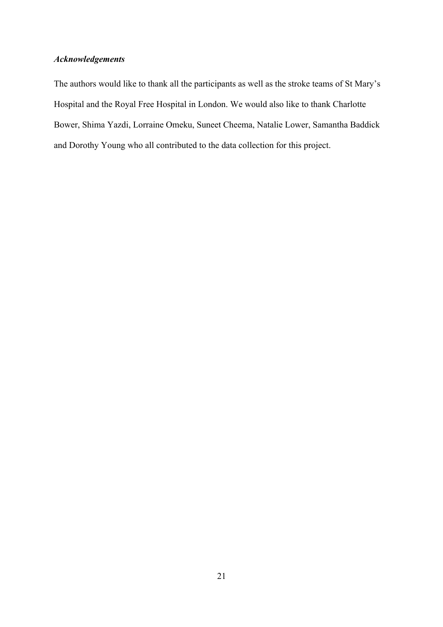#### *Acknowledgements*

The authors would like to thank all the participants as well as the stroke teams of St Mary's Hospital and the Royal Free Hospital in London. We would also like to thank Charlotte Bower, Shima Yazdi, Lorraine Omeku, Suneet Cheema, Natalie Lower, Samantha Baddick and Dorothy Young who all contributed to the data collection for this project.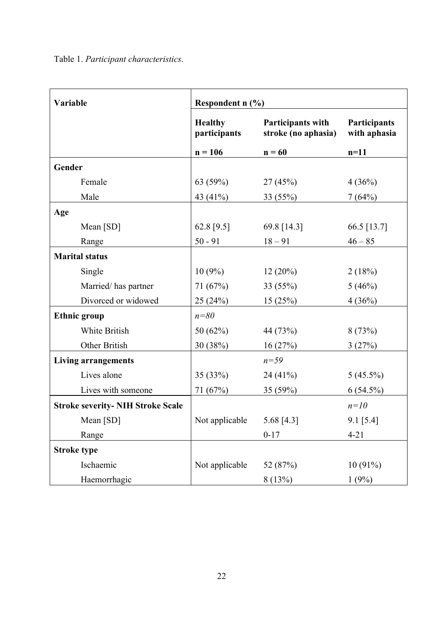| Variable                                 | Respondent $n$ (%)             |                                                 |                                     |  |
|------------------------------------------|--------------------------------|-------------------------------------------------|-------------------------------------|--|
|                                          | <b>Healthy</b><br>participants | <b>Participants with</b><br>stroke (no aphasia) | <b>Participants</b><br>with aphasia |  |
|                                          | $n = 106$                      | $n = 60$                                        | $n=11$                              |  |
| Gender                                   |                                |                                                 |                                     |  |
| Female                                   | 63 $(59%)$                     | 27(45%)                                         | 4(36%)                              |  |
| Male                                     | 43 (41%)                       | 33(55%)                                         | 7(64%)                              |  |
| Age                                      |                                |                                                 |                                     |  |
| Mean [SD]                                | 62.8 [9.5]                     | 69.8 [14.3]                                     | 66.5 [13.7]                         |  |
| Range                                    | $50 - 91$                      | $18 - 91$                                       | $46 - 85$                           |  |
| <b>Marital status</b>                    |                                |                                                 |                                     |  |
| Single                                   | $10(9\%)$                      | $12(20\%)$                                      | 2(18%)                              |  |
| Married/has partner                      | 71(67%)                        | 33(55%)                                         | 5(46%)                              |  |
| Divorced or widowed                      | 25(24%)                        | 15(25%)                                         | 4(36%)                              |  |
| <b>Ethnic group</b>                      | $n=80$                         |                                                 |                                     |  |
| White British                            | 50 $(62\%)$                    | 44 (73%)                                        | 8(73%)                              |  |
| Other British                            | 30 (38%)                       | 16(27%)                                         | 3(27%)                              |  |
| <b>Living arrangements</b>               |                                | $n = 59$                                        |                                     |  |
| Lives alone                              | 35(33%)                        | 24(41%)                                         | $5(45.5\%)$                         |  |
| Lives with someone                       | 71 (67%)                       | 35(59%)                                         | $6(54.5\%)$                         |  |
| <b>Stroke severity- NIH Stroke Scale</b> |                                |                                                 | $n=10$                              |  |
| Mean [SD]                                | Not applicable 5.68 [4.3]      |                                                 | $9.1$ [5.4]                         |  |
| Range                                    |                                | $0 - 17$                                        | $4 - 21$                            |  |
| <b>Stroke type</b>                       |                                |                                                 |                                     |  |
| Ischaemic                                | Not applicable                 | 52 (87%)                                        | 10(91%)                             |  |
| Haemorrhagic                             |                                | 8(13%)                                          | 1(9%)                               |  |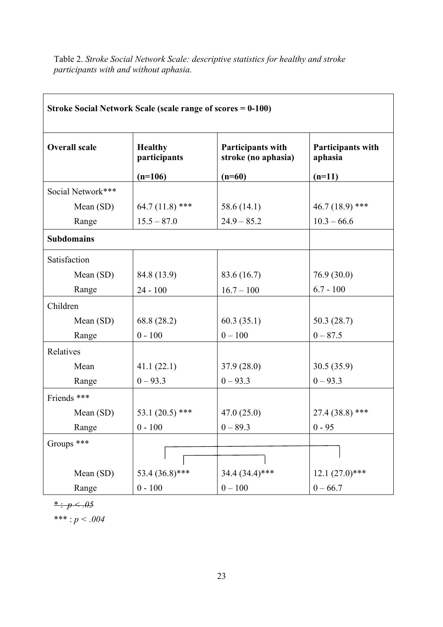Table 2. *Stroke Social Network Scale: descriptive statistics for healthy and stroke participants with and without aphasia.*

| Stroke Social Network Scale (scale range of scores = 0-100) |                                |                                                 |                              |  |  |
|-------------------------------------------------------------|--------------------------------|-------------------------------------------------|------------------------------|--|--|
| <b>Overall scale</b>                                        | <b>Healthy</b><br>participants | <b>Participants with</b><br>stroke (no aphasia) | Participants with<br>aphasia |  |  |
|                                                             | $(n=106)$                      | $(n=60)$                                        | $(n=11)$                     |  |  |
| Social Network***                                           |                                |                                                 |                              |  |  |
| Mean $(SD)$                                                 | 64.7 $(11.8)$ ***              | 58.6 (14.1)                                     | 46.7 (18.9) ***              |  |  |
| Range                                                       | $15.5 - 87.0$                  | $24.9 - 85.2$                                   | $10.3 - 66.6$                |  |  |
| <b>Subdomains</b>                                           |                                |                                                 |                              |  |  |
| Satisfaction                                                |                                |                                                 |                              |  |  |
| Mean $(SD)$                                                 | 84.8 (13.9)                    | 83.6 (16.7)                                     | 76.9(30.0)                   |  |  |
| Range                                                       | $24 - 100$                     | $16.7 - 100$                                    | $6.7 - 100$                  |  |  |
| Children                                                    |                                |                                                 |                              |  |  |
| Mean (SD)                                                   | 68.8 (28.2)                    | 60.3(35.1)                                      | 50.3(28.7)                   |  |  |
| Range                                                       | $0 - 100$                      | $0 - 100$                                       | $0 - 87.5$                   |  |  |
| Relatives                                                   |                                |                                                 |                              |  |  |
| Mean                                                        | 41.1(22.1)                     | 37.9(28.0)                                      | 30.5(35.9)                   |  |  |
| Range                                                       | $0 - 93.3$                     | $0 - 93.3$                                      | $0 - 93.3$                   |  |  |
| Friends ***                                                 |                                |                                                 |                              |  |  |
| Mean $(SD)$                                                 | 53.1 $(20.5)$ ***              | 47.0(25.0)                                      | $27.4(38.8)$ ***             |  |  |
| Range                                                       | $0 - 100$                      | $0 - 89.3$                                      | $0 - 95$                     |  |  |
| Groups ***                                                  |                                |                                                 |                              |  |  |
| Mean (SD)                                                   | 53.4 (36.8)***                 | 34.4 (34.4)***                                  | $12.1 (27.0)$ ***            |  |  |
| Range                                                       | $0 - 100$                      | $0 - 100$                                       | $0 - 66.7$                   |  |  |

 $* \cdot p < .05$ 

\*\*\* : *p < .004*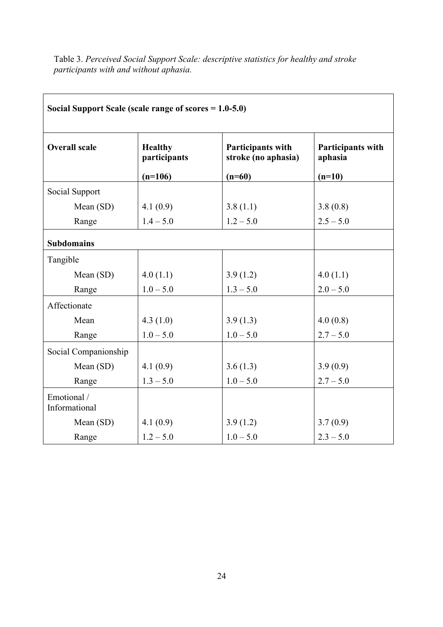Table 3. *Perceived Social Support Scale: descriptive statistics for healthy and stroke participants with and without aphasia.*

| Social Support Scale (scale range of scores $= 1.0 - 5.0$ ) |                                |                                                 |                              |  |  |
|-------------------------------------------------------------|--------------------------------|-------------------------------------------------|------------------------------|--|--|
| <b>Overall scale</b>                                        | <b>Healthy</b><br>participants | <b>Participants with</b><br>stroke (no aphasia) | Participants with<br>aphasia |  |  |
|                                                             | $(n=106)$                      | $(n=60)$                                        | $(n=10)$                     |  |  |
| Social Support                                              |                                |                                                 |                              |  |  |
| Mean (SD)                                                   | 4.1(0.9)                       | 3.8(1.1)                                        | 3.8(0.8)                     |  |  |
| Range                                                       | $1.4 - 5.0$                    | $1.2 - 5.0$                                     | $2.5 - 5.0$                  |  |  |
| <b>Subdomains</b>                                           |                                |                                                 |                              |  |  |
| Tangible                                                    |                                |                                                 |                              |  |  |
| Mean (SD)                                                   | 4.0(1.1)                       | 3.9(1.2)                                        | 4.0(1.1)                     |  |  |
| Range                                                       | $1.0 - 5.0$                    | $1.3 - 5.0$                                     | $2.0 - 5.0$                  |  |  |
| Affectionate                                                |                                |                                                 |                              |  |  |
| Mean                                                        | 4.3(1.0)                       | 3.9(1.3)                                        | 4.0(0.8)                     |  |  |
| Range                                                       | $1.0 - 5.0$                    | $1.0 - 5.0$                                     | $2.7 - 5.0$                  |  |  |
| Social Companionship                                        |                                |                                                 |                              |  |  |
| Mean (SD)                                                   | 4.1(0.9)                       | 3.6(1.3)                                        | 3.9(0.9)                     |  |  |
| Range                                                       | $1.3 - 5.0$                    | $1.0 - 5.0$                                     | $2.7 - 5.0$                  |  |  |
| Emotional /<br>Informational                                |                                |                                                 |                              |  |  |
| Mean (SD)                                                   | 4.1(0.9)                       | 3.9(1.2)                                        | 3.7(0.9)                     |  |  |
| Range                                                       | $1.2 - 5.0$                    | $1.0 - 5.0$                                     | $2.3 - 5.0$                  |  |  |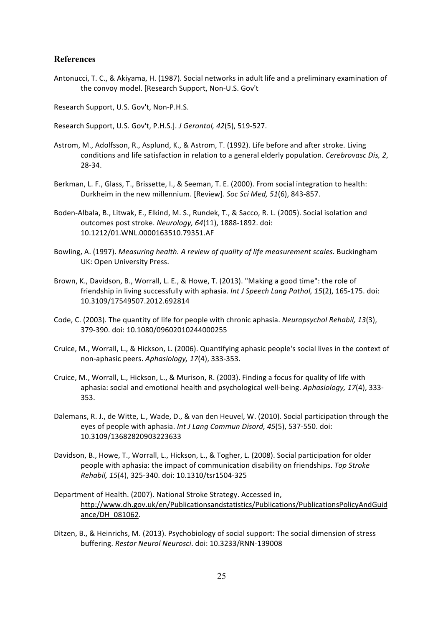#### **References**

Antonucci, T. C., & Akiyama, H. (1987). Social networks in adult life and a preliminary examination of the convoy model. [Research Support, Non-U.S. Gov't

Research Support, U.S. Gov't, Non-P.H.S.

Research Support, U.S. Gov't, P.H.S.]. *J Gerontol, 42*(5), 519-527.

- Astrom, M., Adolfsson, R., Asplund, K., & Astrom, T. (1992). Life before and after stroke. Living conditions and life satisfaction in relation to a general elderly population. *Cerebrovasc Dis, 2*, 28-34.
- Berkman, L. F., Glass, T., Brissette, I., & Seeman, T. E. (2000). From social integration to health: Durkheim in the new millennium. [Review]. *Soc Sci Med, 51*(6), 843-857.
- Boden-Albala, B., Litwak, E., Elkind, M. S., Rundek, T., & Sacco, R. L. (2005). Social isolation and outcomes post stroke. *Neurology, 64*(11), 1888-1892. doi: 10.1212/01.WNL.0000163510.79351.AF
- Bowling, A. (1997). *Measuring health. A review of quality of life measurement scales.* Buckingham UK: Open University Press.
- Brown, K., Davidson, B., Worrall, L. E., & Howe, T. (2013). "Making a good time": the role of friendship in living successfully with aphasia. Int J Speech Lang Pathol, 15(2), 165-175. doi: 10.3109/17549507.2012.692814
- Code, C. (2003). The quantity of life for people with chronic aphasia. *Neuropsychol Rehabil, 13*(3), 379-390. doi: 10.1080/09602010244000255
- Cruice, M., Worrall, L., & Hickson, L. (2006). Quantifying aphasic people's social lives in the context of non-aphasic peers. Aphasiology, 17(4), 333-353.
- Cruice, M., Worrall, L., Hickson, L., & Murison, R. (2003). Finding a focus for quality of life with aphasia: social and emotional health and psychological well-being. Aphasiology, 17(4), 333-353.
- Dalemans, R. J., de Witte, L., Wade, D., & van den Heuvel, W. (2010). Social participation through the eyes of people with aphasia. Int J Lang Commun Disord, 45(5), 537-550. doi: 10.3109/13682820903223633
- Davidson, B., Howe, T., Worrall, L., Hickson, L., & Togher, L. (2008). Social participation for older people with aphasia: the impact of communication disability on friendships. *Top Stroke Rehabil, 15*(4), 325-340. doi: 10.1310/tsr1504-325
- Department of Health. (2007). National Stroke Strategy. Accessed in, http://www.dh.gov.uk/en/Publicationsandstatistics/Publications/PublicationsPolicyAndGuid ance/DH\_081062.
- Ditzen, B., & Heinrichs, M. (2013). Psychobiology of social support: The social dimension of stress buffering. *Restor Neurol Neurosci*. doi: 10.3233/RNN-139008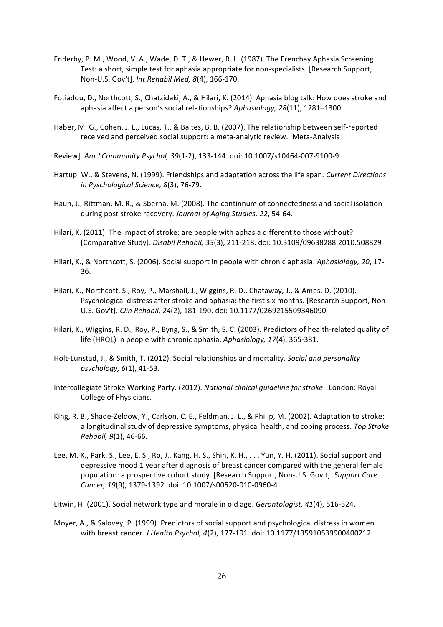- Enderby, P. M., Wood, V. A., Wade, D. T., & Hewer, R. L. (1987). The Frenchay Aphasia Screening Test: a short, simple test for aphasia appropriate for non-specialists. [Research Support, Non-U.S. Gov't]. *Int Rehabil Med, 8*(4), 166-170.
- Fotiadou, D., Northcott, S., Chatzidaki, A., & Hilari, K. (2014). Aphasia blog talk: How does stroke and aphasia affect a person's social relationships? Aphasiology, 28(11), 1281-1300.
- Haber, M. G., Cohen, J. L., Lucas, T., & Baltes, B. B. (2007). The relationship between self-reported received and perceived social support: a meta-analytic review. [Meta-Analysis
- Review]. Am J Community Psychol, 39(1-2), 133-144. doi: 10.1007/s10464-007-9100-9
- Hartup, W., & Stevens, N. (1999). Friendships and adaptation across the life span. *Current Directions in Pyschological Science, 8*(3), 76-79.
- Haun, J., Rittman, M. R., & Sberna, M. (2008). The continnum of connectedness and social isolation during post stroke recovery. Journal of Aging Studies, 22, 54-64.
- Hilari, K. (2011). The impact of stroke: are people with aphasia different to those without? [Comparative Study]. *Disabil Rehabil, 33*(3), 211-218. doi: 10.3109/09638288.2010.508829
- Hilari, K., & Northcott, S. (2006). Social support in people with chronic aphasia. Aphasiology, 20, 17-36.
- Hilari, K., Northcott, S., Roy, P., Marshall, J., Wiggins, R. D., Chataway, J., & Ames, D. (2010). Psychological distress after stroke and aphasia: the first six months. [Research Support, Non-U.S. Gov't]. *Clin Rehabil, 24*(2), 181-190. doi: 10.1177/0269215509346090
- Hilari, K., Wiggins, R. D., Roy, P., Byng, S., & Smith, S. C. (2003). Predictors of health-related quality of life (HRQL) in people with chronic aphasia. Aphasiology, 17(4), 365-381.
- Holt-Lunstad, J., & Smith, T. (2012). Social relationships and mortality. *Social and personality psychology, 6*(1), 41-53.
- Intercollegiate Stroke Working Party. (2012). *National clinical guideline for stroke*. London: Royal College of Physicians.
- King, R. B., Shade-Zeldow, Y., Carlson, C. E., Feldman, J. L., & Philip, M. (2002). Adaptation to stroke: a longitudinal study of depressive symptoms, physical health, and coping process. *Top Stroke Rehabil, 9*(1), 46-66.
- Lee, M. K., Park, S., Lee, E. S., Ro, J., Kang, H. S., Shin, K. H., . . . Yun, Y. H. (2011). Social support and depressive mood 1 year after diagnosis of breast cancer compared with the general female population: a prospective cohort study. [Research Support, Non-U.S. Gov't]. Support Care Cancer, 19(9), 1379-1392. doi: 10.1007/s00520-010-0960-4
- Litwin, H. (2001). Social network type and morale in old age. *Gerontologist, 41*(4), 516-524.
- Moyer, A., & Salovey, P. (1999). Predictors of social support and psychological distress in women with breast cancer. *J Health Psychol, 4*(2), 177-191. doi: 10.1177/135910539900400212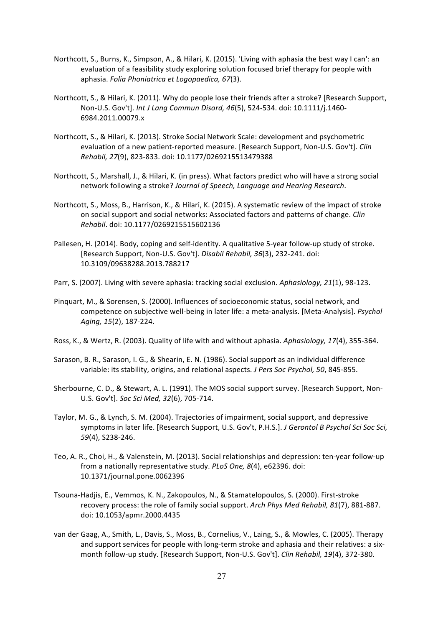- Northcott, S., Burns, K., Simpson, A., & Hilari, K. (2015). 'Living with aphasia the best way I can': an evaluation of a feasibility study exploring solution focused brief therapy for people with aphasia. *Folia Phoniatrica et Logopaedica, 67*(3).
- Northcott, S., & Hilari, K. (2011). Why do people lose their friends after a stroke? [Research Support, Non-U.S. Gov't]. *Int J Lang Commun Disord, 46*(5), 524-534. doi: 10.1111/j.1460-6984.2011.00079.x
- Northcott, S., & Hilari, K. (2013). Stroke Social Network Scale: development and psychometric evaluation of a new patient-reported measure. [Research Support, Non-U.S. Gov't]. *Clin Rehabil, 27*(9), 823-833. doi: 10.1177/0269215513479388
- Northcott, S., Marshall, J., & Hilari, K. (in press). What factors predict who will have a strong social network following a stroke? *Journal of Speech, Language and Hearing Research*.
- Northcott, S., Moss, B., Harrison, K., & Hilari, K. (2015). A systematic review of the impact of stroke on social support and social networks: Associated factors and patterns of change. *Clin Rehabil*. doi: 10.1177/0269215515602136
- Pallesen, H. (2014). Body, coping and self-identity. A qualitative 5-year follow-up study of stroke. [Research Support, Non-U.S. Gov't]. Disabil Rehabil, 36(3), 232-241. doi: 10.3109/09638288.2013.788217
- Parr, S. (2007). Living with severe aphasia: tracking social exclusion. Aphasiology, 21(1), 98-123.
- Pinquart, M., & Sorensen, S. (2000). Influences of socioeconomic status, social network, and competence on subjective well-being in later life: a meta-analysis. [Meta-Analysis]. *Psychol* Aging, 15(2), 187-224.
- Ross, K., & Wertz, R. (2003). Quality of life with and without aphasia. Aphasiology, 17(4), 355-364.
- Sarason, B. R., Sarason, I. G., & Shearin, E. N. (1986). Social support as an individual difference variable: its stability, origins, and relational aspects. *J Pers Soc Psychol, 50*, 845-855.
- Sherbourne, C. D., & Stewart, A. L. (1991). The MOS social support survey. [Research Support, Non-U.S. Gov't]. *Soc Sci Med, 32*(6), 705-714.
- Taylor, M. G., & Lynch, S. M. (2004). Trajectories of impairment, social support, and depressive symptoms in later life. [Research Support, U.S. Gov't, P.H.S.]. *J Gerontol B Psychol Sci Soc Sci, 59*(4), S238-246.
- Teo, A. R., Choi, H., & Valenstein, M. (2013). Social relationships and depression: ten-year follow-up from a nationally representative study. *PLoS One, 8*(4), e62396. doi: 10.1371/journal.pone.0062396
- Tsouna-Hadjis, E., Vemmos, K. N., Zakopoulos, N., & Stamatelopoulos, S. (2000). First-stroke recovery process: the role of family social support. Arch Phys Med Rehabil, 81(7), 881-887. doi: 10.1053/apmr.2000.4435
- van der Gaag, A., Smith, L., Davis, S., Moss, B., Cornelius, V., Laing, S., & Mowles, C. (2005). Therapy and support services for people with long-term stroke and aphasia and their relatives: a sixmonth follow-up study. [Research Support, Non-U.S. Gov't]. *Clin Rehabil, 19*(4), 372-380.